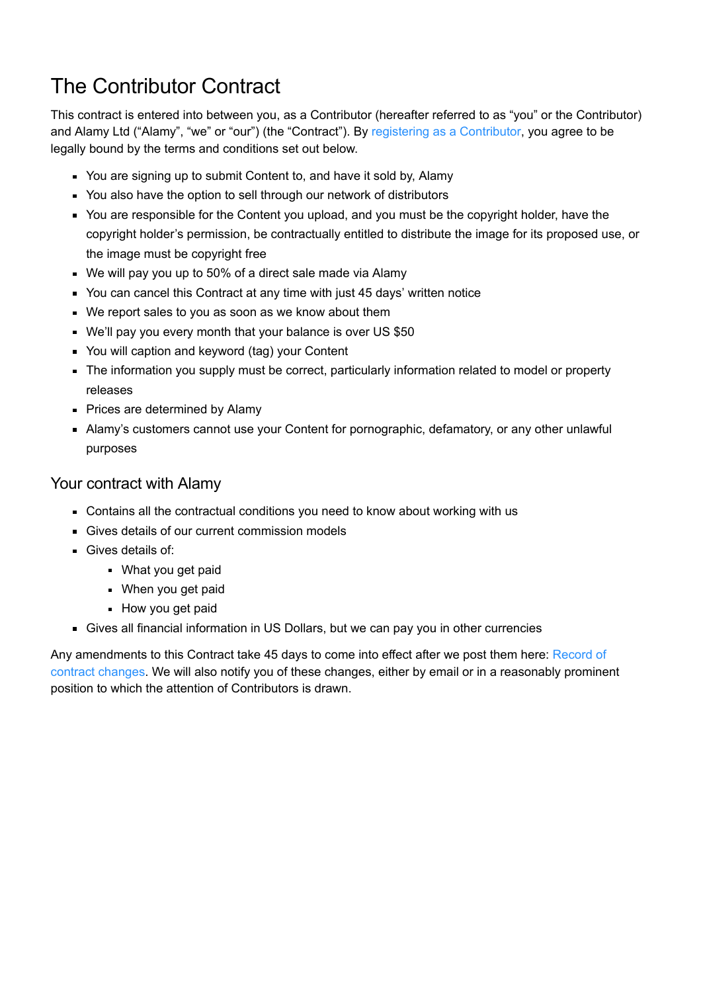# The Contributor Contract

This contract is entered into between you, as a Contributor (hereafter referred to as "you" or the Contributor) and Alamy Ltd ("Alamy", "we" or "our") (the "Contract"). By [registering as a Contributor](https://www.alamy.com/Registration/Contributor-signup.aspx), you agree to be legally bound by the terms and conditions set out below.

- You are signing up to submit Content to, and have it sold by, Alamy
- You also have the option to sell through our network of distributors
- You are responsible for the Content you upload, and you must be the copyright holder, have the copyright holder's permission, be contractually entitled to distribute the image for its proposed use, or the image must be copyright free
- We will pay you up to 50% of a direct sale made via Alamy
- You can cancel this Contract at any time with just 45 days' written notice
- We report sales to you as soon as we know about them
- We'll pay you every month that your balance is over US \$50
- You will caption and keyword (tag) your Content
- The information you supply must be correct, particularly information related to model or property releases
- **Prices are determined by Alamy**
- Alamy's customers cannot use your Content for pornographic, defamatory, or any other unlawful purposes

## Your contract with Alamy

- Contains all the contractual conditions you need to know about working with us
- Gives details of our current commission models
- Gives details of:
	- **What you get paid**
	- **When you get paid**
	- **How you get paid**
- Gives all financial information in US Dollars, but we can pay you in other currencies

[Any amendments to this Contract take 45 days to come into effect after we post them here: Record of](https://www.alamy.com/terms/contributor-contract-changes.aspx) contract changes. We will also notify you of these changes, either by email or in a reasonably prominent position to which the attention of Contributors is drawn.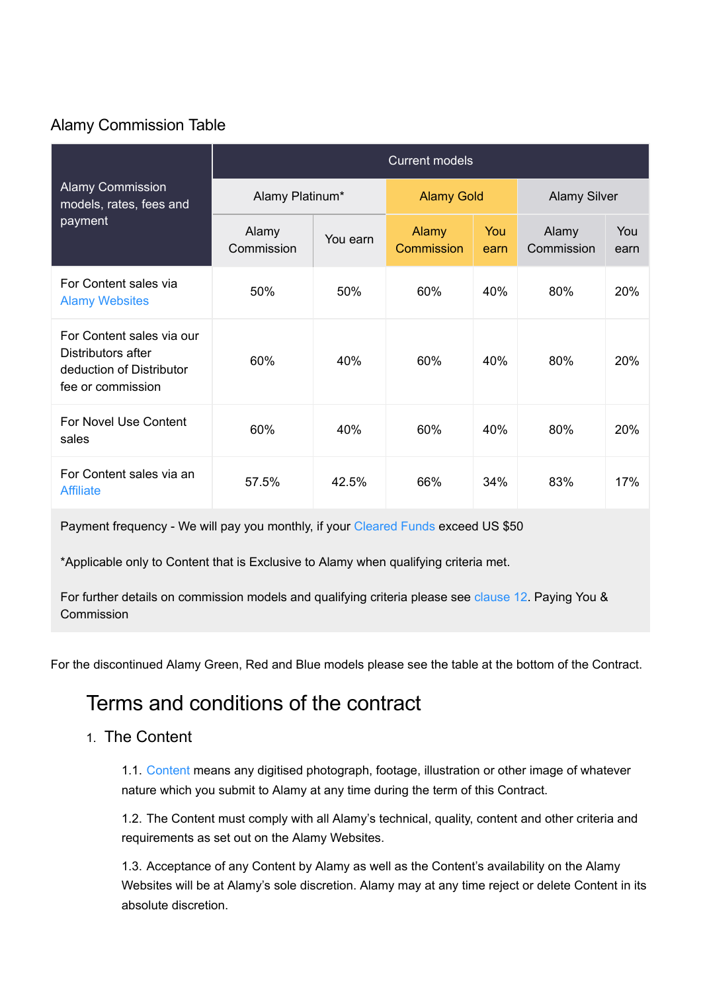## Alamy Commission Table

| <b>Alamy Commission</b><br>models, rates, fees and<br>payment                                    | <b>Current models</b> |          |                     |             |                     |             |  |
|--------------------------------------------------------------------------------------------------|-----------------------|----------|---------------------|-------------|---------------------|-------------|--|
|                                                                                                  | Alamy Platinum*       |          | <b>Alamy Gold</b>   |             | <b>Alamy Silver</b> |             |  |
|                                                                                                  | Alamy<br>Commission   | You earn | Alamy<br>Commission | You<br>earn | Alamy<br>Commission | You<br>earn |  |
| For Content sales via<br><b>Alamy Websites</b>                                                   | 50%                   | 50%      | 60%                 | 40%         | 80%                 | 20%         |  |
| For Content sales via our<br>Distributors after<br>deduction of Distributor<br>fee or commission | 60%                   | 40%      | 60%                 | 40%         | 80%                 | 20%         |  |
| For Novel Use Content<br>sales                                                                   | 60%                   | 40%      | 60%                 | 40%         | 80%                 | 20%         |  |
| For Content sales via an<br><b>Affiliate</b>                                                     | 57.5%                 | 42.5%    | 66%                 | 34%         | 83%                 | 17%         |  |

Payment frequency - We will pay you monthly, if your [Cleared Funds](#page-19-1) exceed US \$50

\*Applicable only to Content that is Exclusive to Alamy when qualifying criteria met.

For further details on commission models and qualifying criteria please see [clause 12](#page-10-0). Paying You & **Commission** 

For the discontinued Alamy Green, Red and Blue models please see the table at the bottom of the Contract.

# Terms and conditions of the contract

## 1. The Content

1.1. [Content](#page-19-2) means any digitised photograph, footage, illustration or other image of whatever nature which you submit to Alamy at any time during the term of this Contract.

1.2. The Content must comply with all Alamy's technical, quality, content and other criteria and requirements as set out on the Alamy Websites.

1.3. Acceptance of any Content by Alamy as well as the Content's availability on the Alamy Websites will be at Alamy's sole discretion. Alamy may at any time reject or delete Content in its absolute discretion.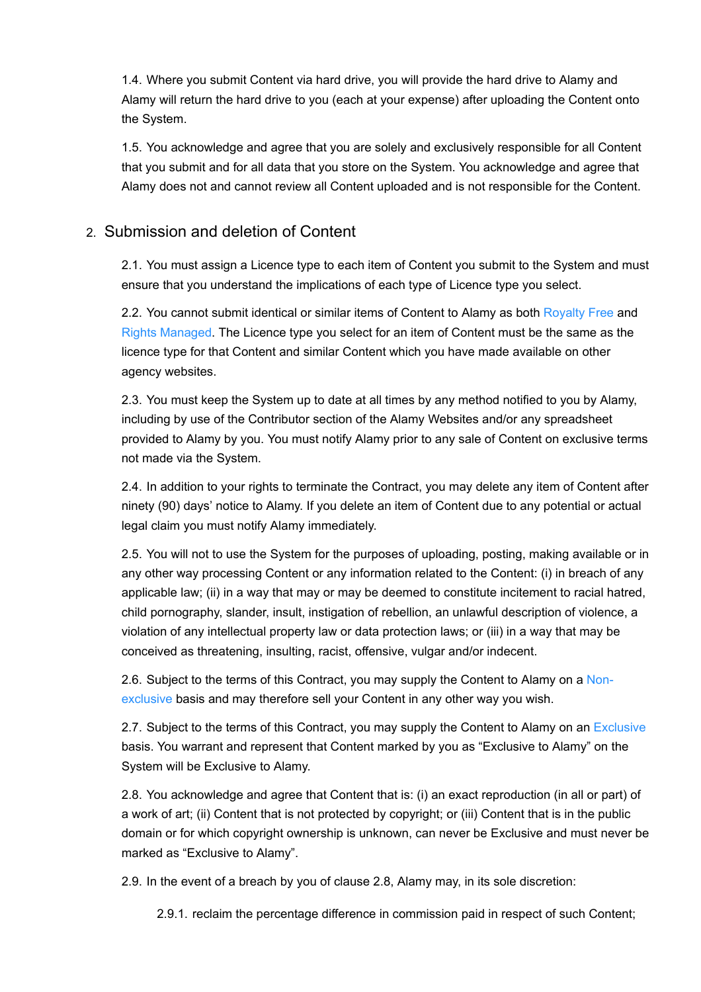1.4. Where you submit Content via hard drive, you will provide the hard drive to Alamy and Alamy will return the hard drive to you (each at your expense) after uploading the Content onto the System.

1.5. You acknowledge and agree that you are solely and exclusively responsible for all Content that you submit and for all data that you store on the System. You acknowledge and agree that Alamy does not and cannot review all Content uploaded and is not responsible for the Content.

## 2. Submission and deletion of Content

2.1. You must assign a Licence type to each item of Content you submit to the System and must ensure that you understand the implications of each type of Licence type you select.

2.2. You cannot submit identical or similar items of Content to Alamy as both [Royalty Free](#page-22-0) and [Rights Managed.](#page-21-0) The Licence type you select for an item of Content must be the same as the licence type for that Content and similar Content which you have made available on other agency websites.

2.3. You must keep the System up to date at all times by any method notified to you by Alamy, including by use of the Contributor section of the Alamy Websites and/or any spreadsheet provided to Alamy by you. You must notify Alamy prior to any sale of Content on exclusive terms not made via the System.

2.4. In addition to your rights to terminate the Contract, you may delete any item of Content after ninety (90) days' notice to Alamy. If you delete an item of Content due to any potential or actual legal claim you must notify Alamy immediately.

2.5. You will not to use the System for the purposes of uploading, posting, making available or in any other way processing Content or any information related to the Content: (i) in breach of any applicable law; (ii) in a way that may or may be deemed to constitute incitement to racial hatred, child pornography, slander, insult, instigation of rebellion, an unlawful description of violence, a violation of any intellectual property law or data protection laws; or (iii) in a way that may be conceived as threatening, insulting, racist, offensive, vulgar and/or indecent.

2.6. [Subject to the terms of this Contract, you may supply the Content to Alamy on a Non](#page-20-0)exclusive basis and may therefore sell your Content in any other way you wish.

2.7. Subject to the terms of this Contract, you may supply the Content to Alamy on an [Exclusive](#page-20-1) basis. You warrant and represent that Content marked by you as "Exclusive to Alamy" on the System will be Exclusive to Alamy.

2.8. You acknowledge and agree that Content that is: (i) an exact reproduction (in all or part) of a work of art; (ii) Content that is not protected by copyright; or (iii) Content that is in the public domain or for which copyright ownership is unknown, can never be Exclusive and must never be marked as "Exclusive to Alamy".

2.9. In the event of a breach by you of clause 2.8, Alamy may, in its sole discretion:

2.9.1. reclaim the percentage difference in commission paid in respect of such Content;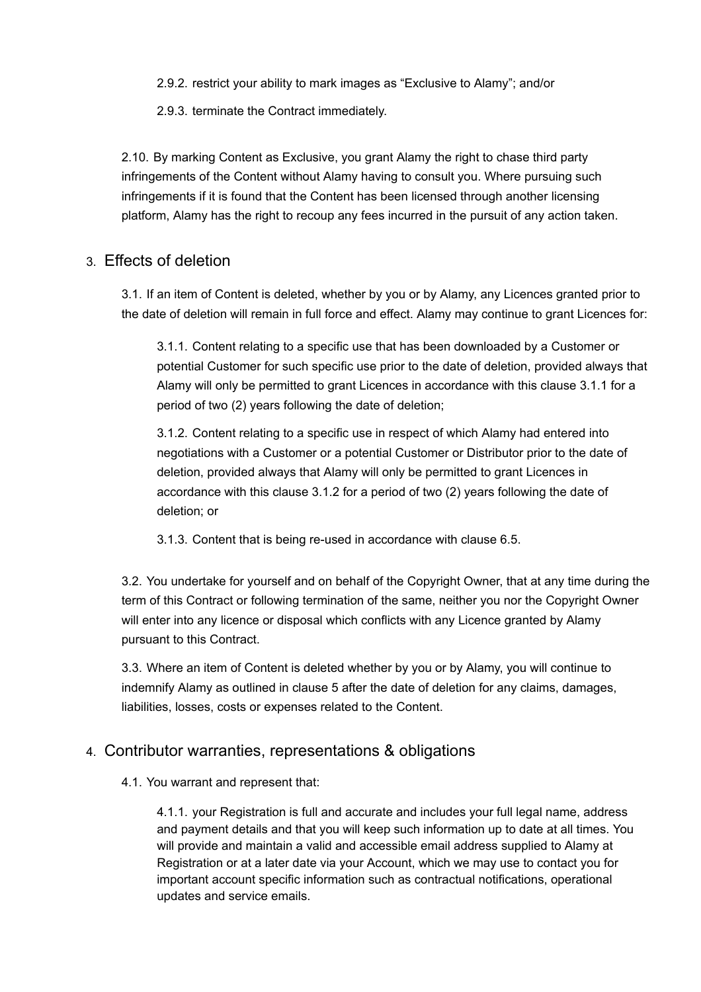2.9.2. restrict your ability to mark images as "Exclusive to Alamy"; and/or

2.9.3. terminate the Contract immediately.

2.10. By marking Content as Exclusive, you grant Alamy the right to chase third party infringements of the Content without Alamy having to consult you. Where pursuing such infringements if it is found that the Content has been licensed through another licensing platform, Alamy has the right to recoup any fees incurred in the pursuit of any action taken.

## 3. Effects of deletion

3.1. If an item of Content is deleted, whether by you or by Alamy, any Licences granted prior to the date of deletion will remain in full force and effect. Alamy may continue to grant Licences for:

3.1.1. Content relating to a specific use that has been downloaded by a Customer or potential Customer for such specific use prior to the date of deletion, provided always that Alamy will only be permitted to grant Licences in accordance with this clause 3.1.1 for a period of two (2) years following the date of deletion;

3.1.2. Content relating to a specific use in respect of which Alamy had entered into negotiations with a Customer or a potential Customer or Distributor prior to the date of deletion, provided always that Alamy will only be permitted to grant Licences in accordance with this clause 3.1.2 for a period of two (2) years following the date of deletion; or

3.1.3. Content that is being re-used in accordance with clause 6.5.

3.2. You undertake for yourself and on behalf of the Copyright Owner, that at any time during the term of this Contract or following termination of the same, neither you nor the Copyright Owner will enter into any licence or disposal which conflicts with any Licence granted by Alamy pursuant to this Contract.

3.3. Where an item of Content is deleted whether by you or by Alamy, you will continue to indemnify Alamy as outlined in clause 5 after the date of deletion for any claims, damages, liabilities, losses, costs or expenses related to the Content.

## 4. Contributor warranties, representations & obligations

#### 4.1. You warrant and represent that:

4.1.1. your Registration is full and accurate and includes your full legal name, address and payment details and that you will keep such information up to date at all times. You will provide and maintain a valid and accessible email address supplied to Alamy at Registration or at a later date via your Account, which we may use to contact you for important account specific information such as contractual notifications, operational updates and service emails.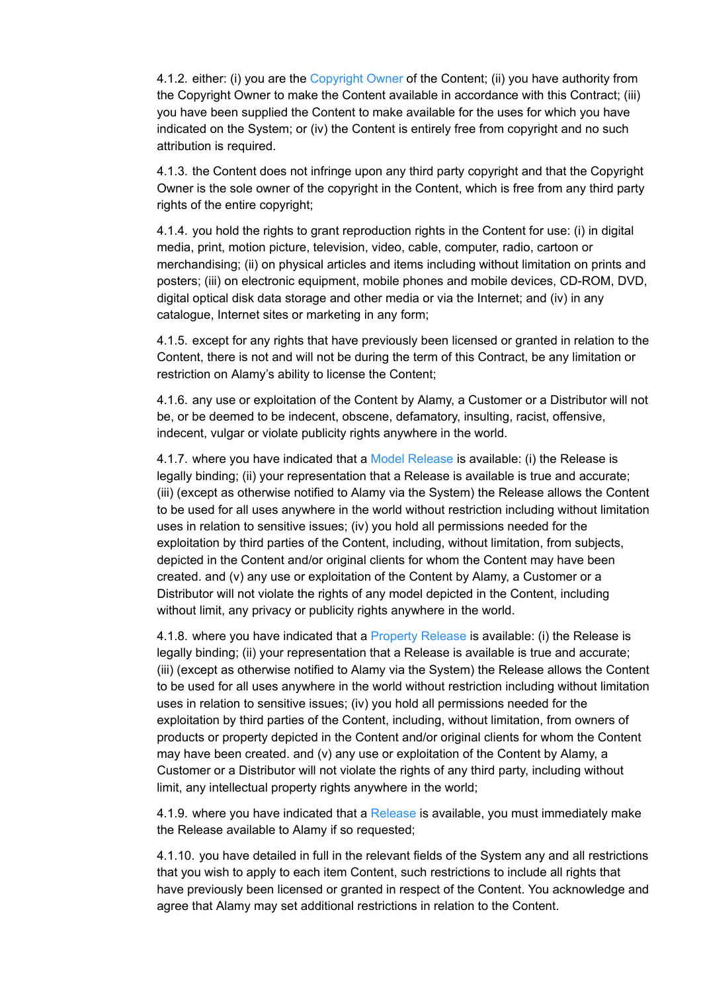4.1.2. either: (i) you are the [Copyright Owner](#page-20-2) of the Content; (ii) you have authority from the Copyright Owner to make the Content available in accordance with this Contract; (iii) you have been supplied the Content to make available for the uses for which you have indicated on the System; or (iv) the Content is entirely free from copyright and no such attribution is required.

4.1.3. the Content does not infringe upon any third party copyright and that the Copyright Owner is the sole owner of the copyright in the Content, which is free from any third party rights of the entire copyright;

4.1.4. you hold the rights to grant reproduction rights in the Content for use: (i) in digital media, print, motion picture, television, video, cable, computer, radio, cartoon or merchandising; (ii) on physical articles and items including without limitation on prints and posters; (iii) on electronic equipment, mobile phones and mobile devices, CD-ROM, DVD, digital optical disk data storage and other media or via the Internet; and (iv) in any catalogue, Internet sites or marketing in any form;

4.1.5. except for any rights that have previously been licensed or granted in relation to the Content, there is not and will not be during the term of this Contract, be any limitation or restriction on Alamy's ability to license the Content;

4.1.6. any use or exploitation of the Content by Alamy, a Customer or a Distributor will not be, or be deemed to be indecent, obscene, defamatory, insulting, racist, offensive, indecent, vulgar or violate publicity rights anywhere in the world.

4.1.7. where you have indicated that a [Model Release](#page-20-3) is available: (i) the Release is legally binding; (ii) your representation that a Release is available is true and accurate; (iii) (except as otherwise notified to Alamy via the System) the Release allows the Content to be used for all uses anywhere in the world without restriction including without limitation uses in relation to sensitive issues; (iv) you hold all permissions needed for the exploitation by third parties of the Content, including, without limitation, from subjects, depicted in the Content and/or original clients for whom the Content may have been created. and (v) any use or exploitation of the Content by Alamy, a Customer or a Distributor will not violate the rights of any model depicted in the Content, including without limit, any privacy or publicity rights anywhere in the world.

4.1.8. where you have indicated that a [Property Release](#page-21-1) is available: (i) the Release is legally binding; (ii) your representation that a Release is available is true and accurate; (iii) (except as otherwise notified to Alamy via the System) the Release allows the Content to be used for all uses anywhere in the world without restriction including without limitation uses in relation to sensitive issues; (iv) you hold all permissions needed for the exploitation by third parties of the Content, including, without limitation, from owners of products or property depicted in the Content and/or original clients for whom the Content may have been created. and (v) any use or exploitation of the Content by Alamy, a Customer or a Distributor will not violate the rights of any third party, including without limit, any intellectual property rights anywhere in the world;

4.1.9. where you have indicated that a [Release](#page-21-2) is available, you must immediately make the Release available to Alamy if so requested;

4.1.10. you have detailed in full in the relevant fields of the System any and all restrictions that you wish to apply to each item Content, such restrictions to include all rights that have previously been licensed or granted in respect of the Content. You acknowledge and agree that Alamy may set additional restrictions in relation to the Content.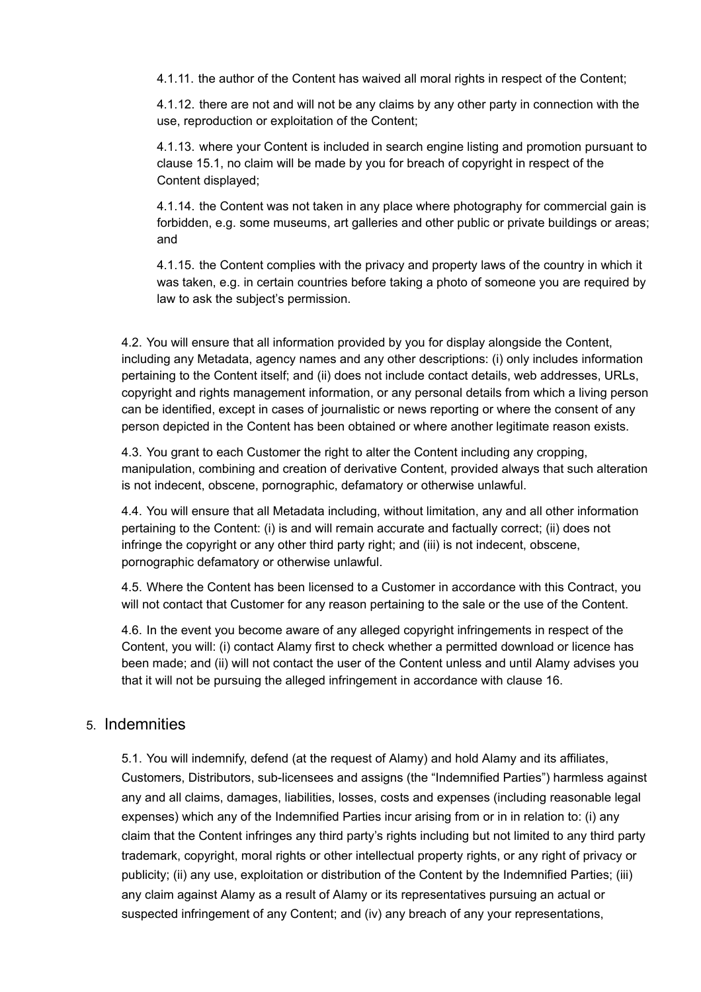4.1.11. the author of the Content has waived all moral rights in respect of the Content;

4.1.12. there are not and will not be any claims by any other party in connection with the use, reproduction or exploitation of the Content;

4.1.13. where your Content is included in search engine listing and promotion pursuant to clause 15.1, no claim will be made by you for breach of copyright in respect of the Content displayed;

4.1.14. the Content was not taken in any place where photography for commercial gain is forbidden, e.g. some museums, art galleries and other public or private buildings or areas; and

4.1.15. the Content complies with the privacy and property laws of the country in which it was taken, e.g. in certain countries before taking a photo of someone you are required by law to ask the subject's permission.

4.2. You will ensure that all information provided by you for display alongside the Content, including any Metadata, agency names and any other descriptions: (i) only includes information pertaining to the Content itself; and (ii) does not include contact details, web addresses, URLs, copyright and rights management information, or any personal details from which a living person can be identified, except in cases of journalistic or news reporting or where the consent of any person depicted in the Content has been obtained or where another legitimate reason exists.

4.3. You grant to each Customer the right to alter the Content including any cropping, manipulation, combining and creation of derivative Content, provided always that such alteration is not indecent, obscene, pornographic, defamatory or otherwise unlawful.

4.4. You will ensure that all Metadata including, without limitation, any and all other information pertaining to the Content: (i) is and will remain accurate and factually correct; (ii) does not infringe the copyright or any other third party right; and (iii) is not indecent, obscene, pornographic defamatory or otherwise unlawful.

4.5. Where the Content has been licensed to a Customer in accordance with this Contract, you will not contact that Customer for any reason pertaining to the sale or the use of the Content.

4.6. In the event you become aware of any alleged copyright infringements in respect of the Content, you will: (i) contact Alamy first to check whether a permitted download or licence has been made; and (ii) will not contact the user of the Content unless and until Alamy advises you that it will not be pursuing the alleged infringement in accordance with clause 16.

#### 5. Indemnities

5.1. You will indemnify, defend (at the request of Alamy) and hold Alamy and its affiliates, Customers, Distributors, sub-licensees and assigns (the "Indemnified Parties") harmless against any and all claims, damages, liabilities, losses, costs and expenses (including reasonable legal expenses) which any of the Indemnified Parties incur arising from or in in relation to: (i) any claim that the Content infringes any third party's rights including but not limited to any third party trademark, copyright, moral rights or other intellectual property rights, or any right of privacy or publicity; (ii) any use, exploitation or distribution of the Content by the Indemnified Parties; (iii) any claim against Alamy as a result of Alamy or its representatives pursuing an actual or suspected infringement of any Content; and (iv) any breach of any your representations,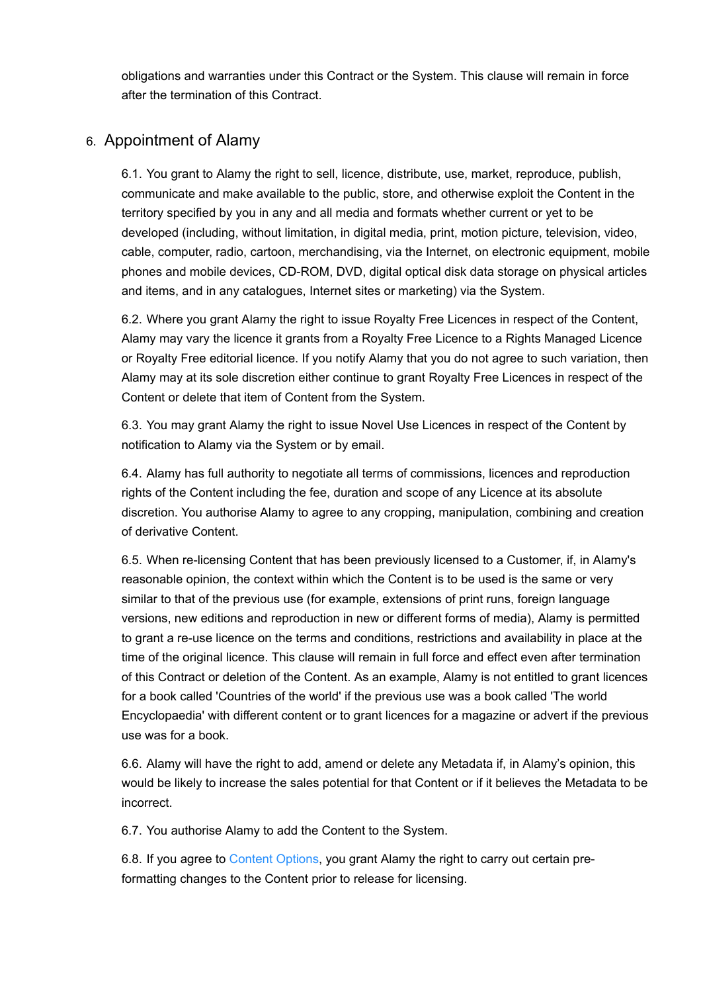obligations and warranties under this Contract or the System. This clause will remain in force after the termination of this Contract.

## 6. Appointment of Alamy

6.1. You grant to Alamy the right to sell, licence, distribute, use, market, reproduce, publish, communicate and make available to the public, store, and otherwise exploit the Content in the territory specified by you in any and all media and formats whether current or yet to be developed (including, without limitation, in digital media, print, motion picture, television, video, cable, computer, radio, cartoon, merchandising, via the Internet, on electronic equipment, mobile phones and mobile devices, CD-ROM, DVD, digital optical disk data storage on physical articles and items, and in any catalogues, Internet sites or marketing) via the System.

6.2. Where you grant Alamy the right to issue Royalty Free Licences in respect of the Content, Alamy may vary the licence it grants from a Royalty Free Licence to a Rights Managed Licence or Royalty Free editorial licence. If you notify Alamy that you do not agree to such variation, then Alamy may at its sole discretion either continue to grant Royalty Free Licences in respect of the Content or delete that item of Content from the System.

6.3. You may grant Alamy the right to issue Novel Use Licences in respect of the Content by notification to Alamy via the System or by email.

6.4. Alamy has full authority to negotiate all terms of commissions, licences and reproduction rights of the Content including the fee, duration and scope of any Licence at its absolute discretion. You authorise Alamy to agree to any cropping, manipulation, combining and creation of derivative Content.

6.5. When re-licensing Content that has been previously licensed to a Customer, if, in Alamy's reasonable opinion, the context within which the Content is to be used is the same or very similar to that of the previous use (for example, extensions of print runs, foreign language versions, new editions and reproduction in new or different forms of media), Alamy is permitted to grant a re-use licence on the terms and conditions, restrictions and availability in place at the time of the original licence. This clause will remain in full force and effect even after termination of this Contract or deletion of the Content. As an example, Alamy is not entitled to grant licences for a book called 'Countries of the world' if the previous use was a book called 'The world Encyclopaedia' with different content or to grant licences for a magazine or advert if the previous use was for a book.

6.6. Alamy will have the right to add, amend or delete any Metadata if, in Alamy's opinion, this would be likely to increase the sales potential for that Content or if it believes the Metadata to be incorrect.

6.7. You authorise Alamy to add the Content to the System.

6.8. If you agree to [Content Options](#page-19-3), you grant Alamy the right to carry out certain preformatting changes to the Content prior to release for licensing.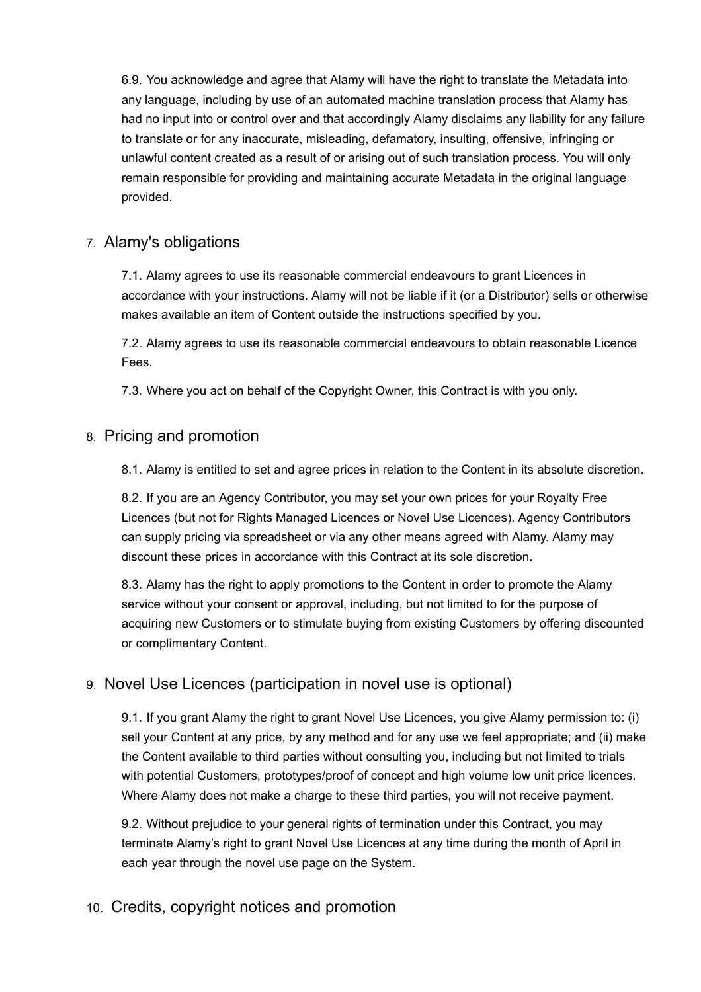6.9. You acknowledge and agree that Alamy will have the right to translate the Metadata into any language, including by use of an automated machine translation process that Alamy has had no input into or control over and that accordingly Alamy disclaims any liability for any failure to translate or for any inaccurate, misleading, defamatory, insulting, offensive, infringing or unlawful content created as a result of or arising out of such translation process. You will only remain responsible for providing and maintaining accurate Metadata in the original language provided.

## 7. Alamy's obligations

7.1. Alamy agrees to use its reasonable commercial endeavours to grant Licences in accordance with your instructions. Alamy will not be liable if it (or a Distributor) sells or otherwise makes available an item of Content outside the instructions specified by you.

7.2. Alamy agrees to use its reasonable commercial endeavours to obtain reasonable Licence Fees.

7.3. Where you act on behalf of the Copyright Owner, this Contract is with you only.

## 8. Pricing and promotion

8.1. Alamy is entitled to set and agree prices in relation to the Content in its absolute discretion.

8.2. If you are an Agency Contributor, you may set your own prices for your Royalty Free Licences (but not for Rights Managed Licences or Novel Use Licences). Agency Contributors can supply pricing via spreadsheet or via any other means agreed with Alamy. Alamy may discount these prices in accordance with this Contract at its sole discretion.

8.3. Alamy has the right to apply promotions to the Content in order to promote the Alamy service without your consent or approval, including, but not limited to for the purpose of acquiring new Customers or to stimulate buying from existing Customers by offering discounted or complimentary Content.

## 9. Novel Use Licences (participation in novel use is optional)

9.1. If you grant Alamy the right to grant Novel Use Licences, you give Alamy permission to: (i) sell your Content at any price, by any method and for any use we feel appropriate; and (ii) make the Content available to third parties without consulting you, including but not limited to trials with potential Customers, prototypes/proof of concept and high volume low unit price licences. Where Alamy does not make a charge to these third parties, you will not receive payment.

9.2. Without prejudice to your general rights of termination under this Contract, you may terminate Alamy's right to grant Novel Use Licences at any time during the month of April in each year through the novel use page on the System.

## 10. Credits, copyright notices and promotion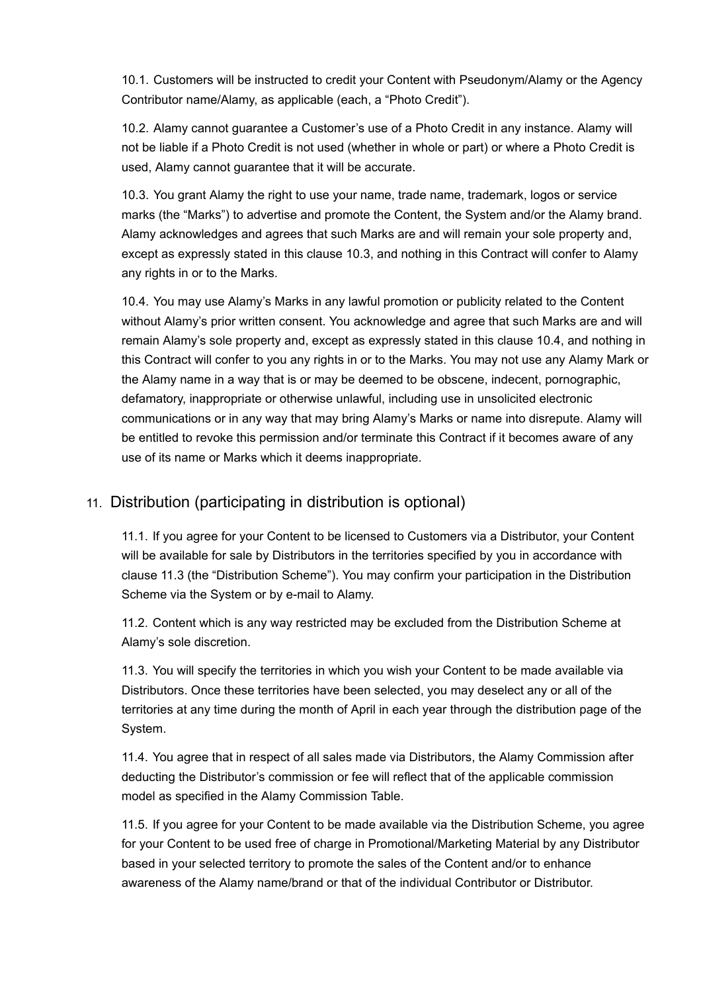10.1. Customers will be instructed to credit your Content with Pseudonym/Alamy or the Agency Contributor name/Alamy, as applicable (each, a "Photo Credit").

10.2. Alamy cannot guarantee a Customer's use of a Photo Credit in any instance. Alamy will not be liable if a Photo Credit is not used (whether in whole or part) or where a Photo Credit is used, Alamy cannot guarantee that it will be accurate.

10.3. You grant Alamy the right to use your name, trade name, trademark, logos or service marks (the "Marks") to advertise and promote the Content, the System and/or the Alamy brand. Alamy acknowledges and agrees that such Marks are and will remain your sole property and, except as expressly stated in this clause 10.3, and nothing in this Contract will confer to Alamy any rights in or to the Marks.

10.4. You may use Alamy's Marks in any lawful promotion or publicity related to the Content without Alamy's prior written consent. You acknowledge and agree that such Marks are and will remain Alamy's sole property and, except as expressly stated in this clause 10.4, and nothing in this Contract will confer to you any rights in or to the Marks. You may not use any Alamy Mark or the Alamy name in a way that is or may be deemed to be obscene, indecent, pornographic, defamatory, inappropriate or otherwise unlawful, including use in unsolicited electronic communications or in any way that may bring Alamy's Marks or name into disrepute. Alamy will be entitled to revoke this permission and/or terminate this Contract if it becomes aware of any use of its name or Marks which it deems inappropriate.

## 11. Distribution (participating in distribution is optional)

11.1. If you agree for your Content to be licensed to Customers via a Distributor, your Content will be available for sale by Distributors in the territories specified by you in accordance with clause 11.3 (the "Distribution Scheme"). You may confirm your participation in the Distribution Scheme via the System or by e-mail to Alamy.

11.2. Content which is any way restricted may be excluded from the Distribution Scheme at Alamy's sole discretion.

11.3. You will specify the territories in which you wish your Content to be made available via Distributors. Once these territories have been selected, you may deselect any or all of the territories at any time during the month of April in each year through the distribution page of the System.

11.4. You agree that in respect of all sales made via Distributors, the Alamy Commission after deducting the Distributor's commission or fee will reflect that of the applicable commission model as specified in the Alamy Commission Table.

11.5. If you agree for your Content to be made available via the Distribution Scheme, you agree for your Content to be used free of charge in Promotional/Marketing Material by any Distributor based in your selected territory to promote the sales of the Content and/or to enhance awareness of the Alamy name/brand or that of the individual Contributor or Distributor.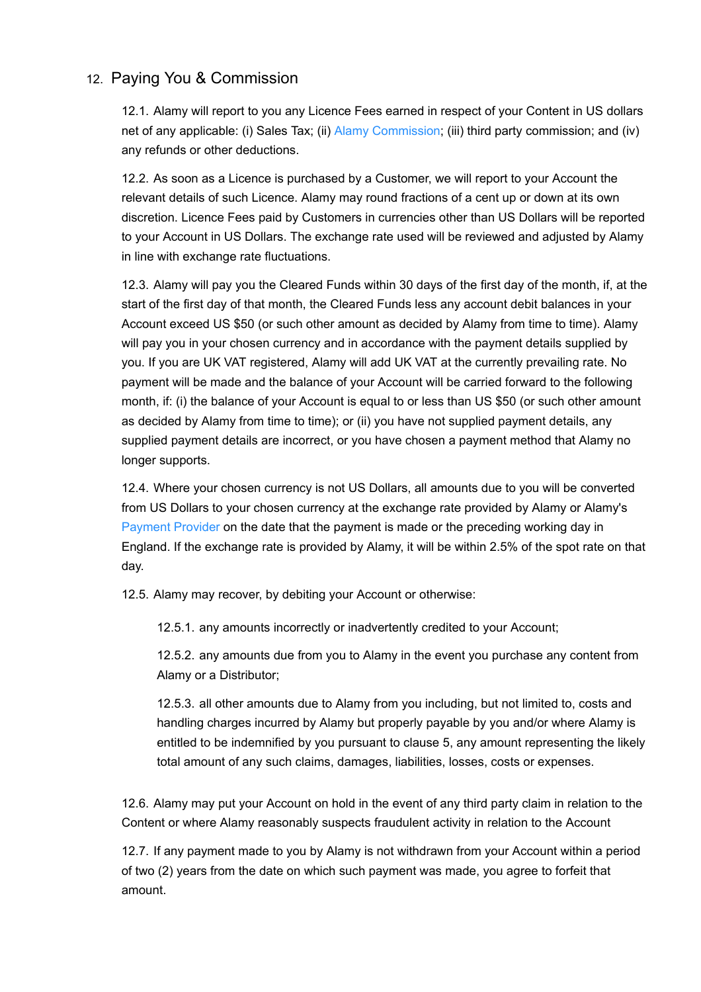## 12. Paying You & Commission

12.1. Alamy will report to you any Licence Fees earned in respect of your Content in US dollars net of any applicable: (i) Sales Tax; (ii) [Alamy Commission](#page-18-1); (iii) third party commission; and (iv) any refunds or other deductions.

12.2. As soon as a Licence is purchased by a Customer, we will report to your Account the relevant details of such Licence. Alamy may round fractions of a cent up or down at its own discretion. Licence Fees paid by Customers in currencies other than US Dollars will be reported to your Account in US Dollars. The exchange rate used will be reviewed and adjusted by Alamy in line with exchange rate fluctuations.

12.3. Alamy will pay you the Cleared Funds within 30 days of the first day of the month, if, at the start of the first day of that month, the Cleared Funds less any account debit balances in your Account exceed US \$50 (or such other amount as decided by Alamy from time to time). Alamy will pay you in your chosen currency and in accordance with the payment details supplied by you. If you are UK VAT registered, Alamy will add UK VAT at the currently prevailing rate. No payment will be made and the balance of your Account will be carried forward to the following month, if: (i) the balance of your Account is equal to or less than US \$50 (or such other amount as decided by Alamy from time to time); or (ii) you have not supplied payment details, any supplied payment details are incorrect, or you have chosen a payment method that Alamy no longer supports.

12.4. Where your chosen currency is not US Dollars, all amounts due to you will be converted from US Dollars to your chosen currency at the exchange rate provided by Alamy or Alamy's [Payment Provider](#page-20-4) on the date that the payment is made or the preceding working day in England. If the exchange rate is provided by Alamy, it will be within 2.5% of the spot rate on that day.

12.5. Alamy may recover, by debiting your Account or otherwise:

12.5.1. any amounts incorrectly or inadvertently credited to your Account;

12.5.2. any amounts due from you to Alamy in the event you purchase any content from Alamy or a Distributor;

12.5.3. all other amounts due to Alamy from you including, but not limited to, costs and handling charges incurred by Alamy but properly payable by you and/or where Alamy is entitled to be indemnified by you pursuant to clause 5, any amount representing the likely total amount of any such claims, damages, liabilities, losses, costs or expenses.

12.6. Alamy may put your Account on hold in the event of any third party claim in relation to the Content or where Alamy reasonably suspects fraudulent activity in relation to the Account

12.7. If any payment made to you by Alamy is not withdrawn from your Account within a period of two (2) years from the date on which such payment was made, you agree to forfeit that amount.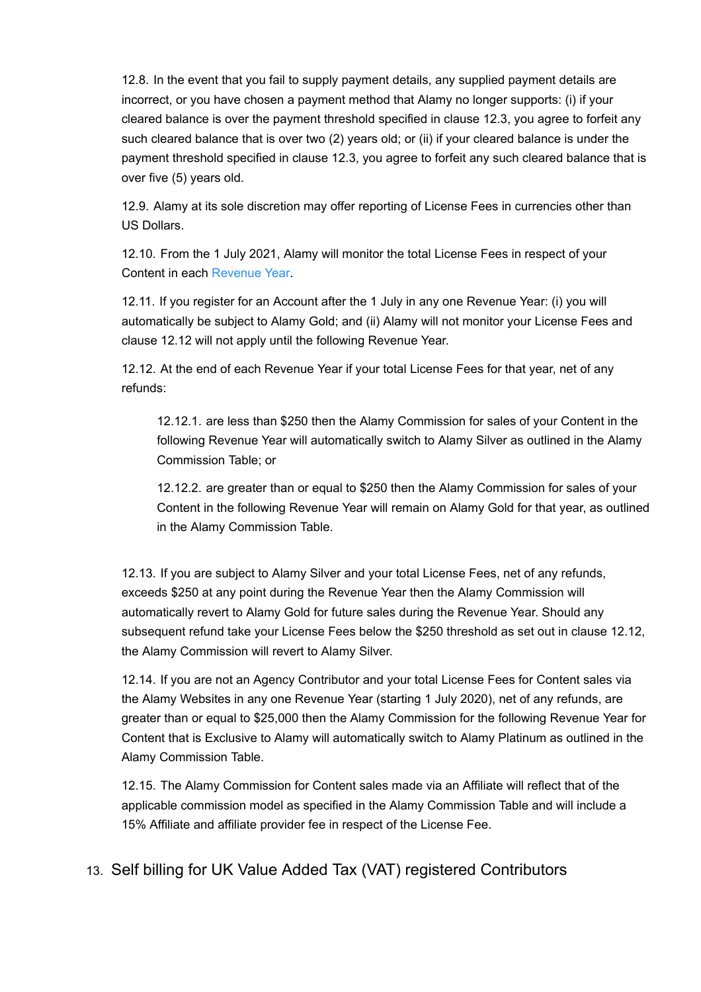12.8. In the event that you fail to supply payment details, any supplied payment details are incorrect, or you have chosen a payment method that Alamy no longer supports: (i) if your cleared balance is over the payment threshold specified in clause 12.3, you agree to forfeit any such cleared balance that is over two (2) years old; or (ii) if your cleared balance is under the payment threshold specified in clause 12.3, you agree to forfeit any such cleared balance that is over five (5) years old.

12.9. Alamy at its sole discretion may offer reporting of License Fees in currencies other than US Dollars.

<span id="page-10-0"></span>12.10. From the 1 July 2021, Alamy will monitor the total License Fees in respect of your Content in each [Revenue Year.](#page-21-3)

12.11. If you register for an Account after the 1 July in any one Revenue Year: (i) you will automatically be subject to Alamy Gold; and (ii) Alamy will not monitor your License Fees and clause 12.12 will not apply until the following Revenue Year.

12.12. At the end of each Revenue Year if your total License Fees for that year, net of any refunds:

12.12.1. are less than \$250 then the Alamy Commission for sales of your Content in the following Revenue Year will automatically switch to Alamy Silver as outlined in the Alamy Commission Table; or

12.12.2. are greater than or equal to \$250 then the Alamy Commission for sales of your Content in the following Revenue Year will remain on Alamy Gold for that year, as outlined in the Alamy Commission Table.

12.13. If you are subject to Alamy Silver and your total License Fees, net of any refunds, exceeds \$250 at any point during the Revenue Year then the Alamy Commission will automatically revert to Alamy Gold for future sales during the Revenue Year. Should any subsequent refund take your License Fees below the \$250 threshold as set out in clause 12.12, the Alamy Commission will revert to Alamy Silver.

12.14. If you are not an Agency Contributor and your total License Fees for Content sales via the Alamy Websites in any one Revenue Year (starting 1 July 2020), net of any refunds, are greater than or equal to \$25,000 then the Alamy Commission for the following Revenue Year for Content that is Exclusive to Alamy will automatically switch to Alamy Platinum as outlined in the Alamy Commission Table.

12.15. The Alamy Commission for Content sales made via an Affiliate will reflect that of the applicable commission model as specified in the Alamy Commission Table and will include a 15% Affiliate and affiliate provider fee in respect of the License Fee.

13. Self billing for UK Value Added Tax (VAT) registered Contributors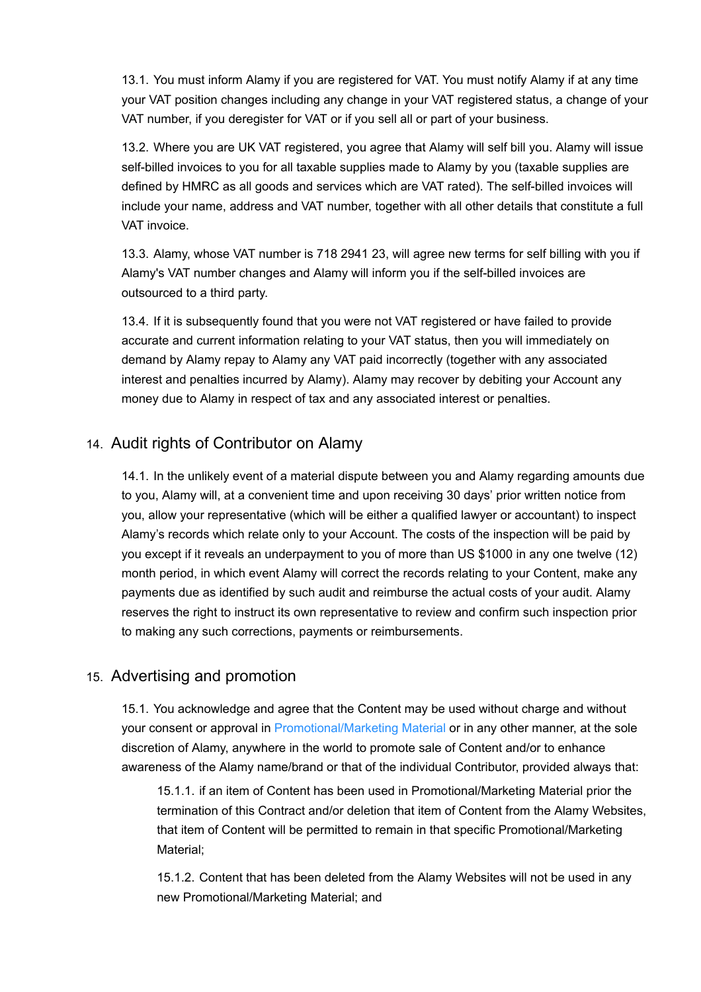13.1. You must inform Alamy if you are registered for VAT. You must notify Alamy if at any time your VAT position changes including any change in your VAT registered status, a change of your VAT number, if you deregister for VAT or if you sell all or part of your business.

13.2. Where you are UK VAT registered, you agree that Alamy will self bill you. Alamy will issue self-billed invoices to you for all taxable supplies made to Alamy by you (taxable supplies are defined by HMRC as all goods and services which are VAT rated). The self-billed invoices will include your name, address and VAT number, together with all other details that constitute a full VAT invoice.

13.3. Alamy, whose VAT number is 718 2941 23, will agree new terms for self billing with you if Alamy's VAT number changes and Alamy will inform you if the self-billed invoices are outsourced to a third party.

13.4. If it is subsequently found that you were not VAT registered or have failed to provide accurate and current information relating to your VAT status, then you will immediately on demand by Alamy repay to Alamy any VAT paid incorrectly (together with any associated interest and penalties incurred by Alamy). Alamy may recover by debiting your Account any money due to Alamy in respect of tax and any associated interest or penalties.

## 14. Audit rights of Contributor on Alamy

14.1. In the unlikely event of a material dispute between you and Alamy regarding amounts due to you, Alamy will, at a convenient time and upon receiving 30 days' prior written notice from you, allow your representative (which will be either a qualified lawyer or accountant) to inspect Alamy's records which relate only to your Account. The costs of the inspection will be paid by you except if it reveals an underpayment to you of more than US \$1000 in any one twelve (12) month period, in which event Alamy will correct the records relating to your Content, make any payments due as identified by such audit and reimburse the actual costs of your audit. Alamy reserves the right to instruct its own representative to review and confirm such inspection prior to making any such corrections, payments or reimbursements.

## 15. Advertising and promotion

15.1. You acknowledge and agree that the Content may be used without charge and without your consent or approval in [Promotional/Marketing Material o](#page-21-4)r in any other manner, at the sole discretion of Alamy, anywhere in the world to promote sale of Content and/or to enhance awareness of the Alamy name/brand or that of the individual Contributor, provided always that:

15.1.1. if an item of Content has been used in Promotional/Marketing Material prior the termination of this Contract and/or deletion that item of Content from the Alamy Websites, that item of Content will be permitted to remain in that specific Promotional/Marketing Material;

15.1.2. Content that has been deleted from the Alamy Websites will not be used in any new Promotional/Marketing Material; and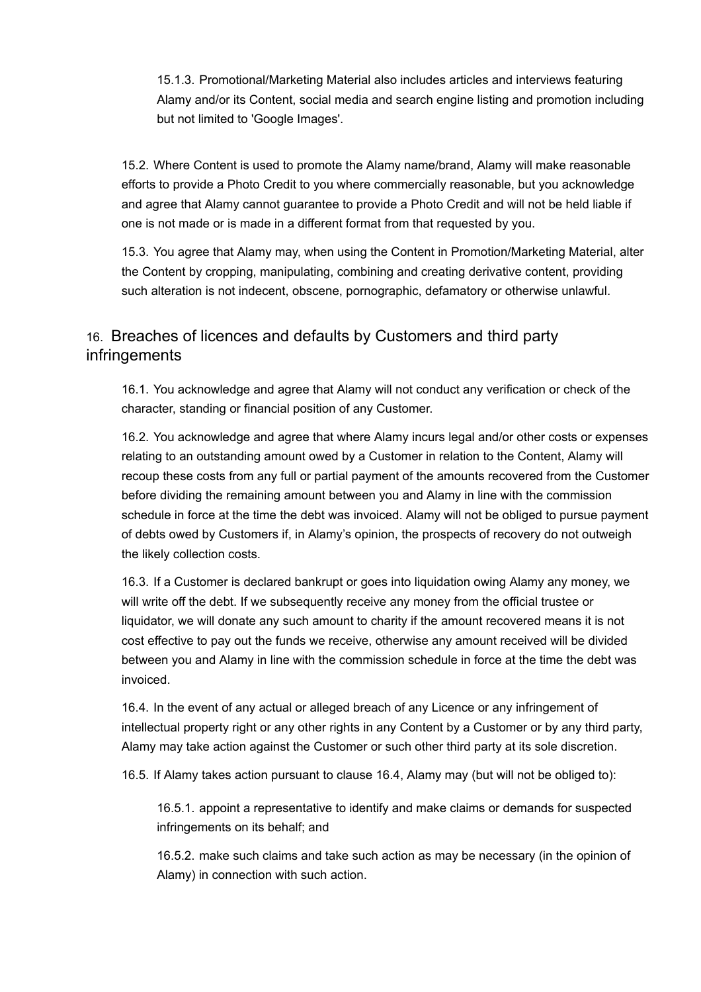15.1.3. Promotional/Marketing Material also includes articles and interviews featuring Alamy and/or its Content, social media and search engine listing and promotion including but not limited to 'Google Images'.

15.2. Where Content is used to promote the Alamy name/brand, Alamy will make reasonable efforts to provide a Photo Credit to you where commercially reasonable, but you acknowledge and agree that Alamy cannot guarantee to provide a Photo Credit and will not be held liable if one is not made or is made in a different format from that requested by you.

15.3. You agree that Alamy may, when using the Content in Promotion/Marketing Material, alter the Content by cropping, manipulating, combining and creating derivative content, providing such alteration is not indecent, obscene, pornographic, defamatory or otherwise unlawful.

## 16. Breaches of licences and defaults by Customers and third party infringements

16.1. You acknowledge and agree that Alamy will not conduct any verification or check of the character, standing or financial position of any Customer.

16.2. You acknowledge and agree that where Alamy incurs legal and/or other costs or expenses relating to an outstanding amount owed by a Customer in relation to the Content, Alamy will recoup these costs from any full or partial payment of the amounts recovered from the Customer before dividing the remaining amount between you and Alamy in line with the commission schedule in force at the time the debt was invoiced. Alamy will not be obliged to pursue payment of debts owed by Customers if, in Alamy's opinion, the prospects of recovery do not outweigh the likely collection costs.

16.3. If a Customer is declared bankrupt or goes into liquidation owing Alamy any money, we will write off the debt. If we subsequently receive any money from the official trustee or liquidator, we will donate any such amount to charity if the amount recovered means it is not cost effective to pay out the funds we receive, otherwise any amount received will be divided between you and Alamy in line with the commission schedule in force at the time the debt was invoiced.

16.4. In the event of any actual or alleged breach of any Licence or any infringement of intellectual property right or any other rights in any Content by a Customer or by any third party, Alamy may take action against the Customer or such other third party at its sole discretion.

16.5. If Alamy takes action pursuant to clause 16.4, Alamy may (but will not be obliged to):

16.5.1. appoint a representative to identify and make claims or demands for suspected infringements on its behalf; and

16.5.2. make such claims and take such action as may be necessary (in the opinion of Alamy) in connection with such action.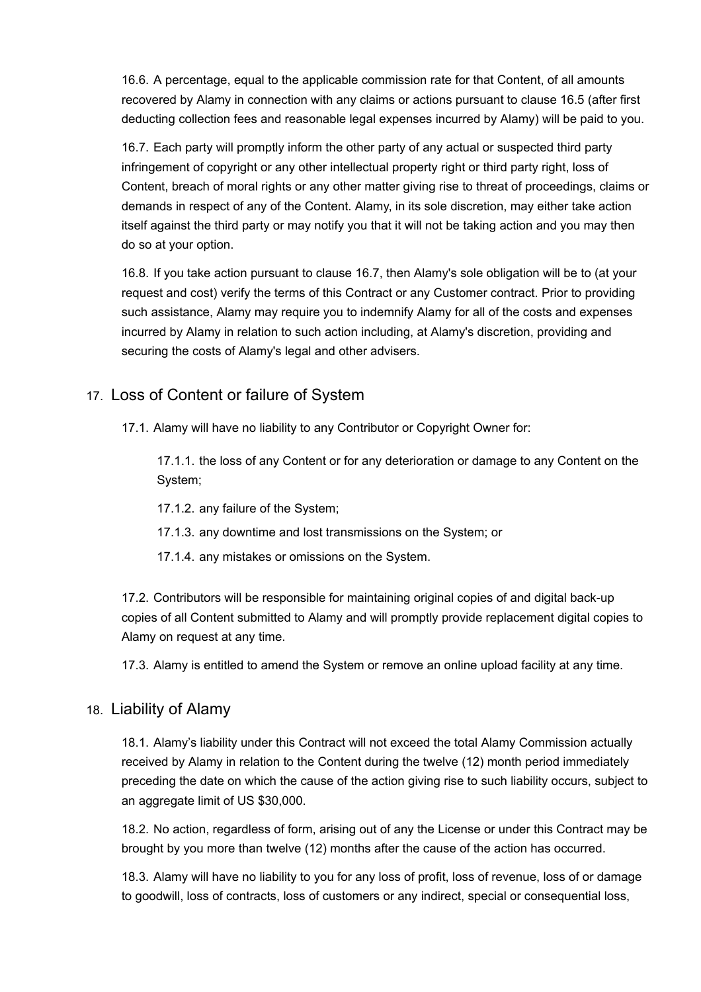16.6. A percentage, equal to the applicable commission rate for that Content, of all amounts recovered by Alamy in connection with any claims or actions pursuant to clause 16.5 (after first deducting collection fees and reasonable legal expenses incurred by Alamy) will be paid to you.

16.7. Each party will promptly inform the other party of any actual or suspected third party infringement of copyright or any other intellectual property right or third party right, loss of Content, breach of moral rights or any other matter giving rise to threat of proceedings, claims or demands in respect of any of the Content. Alamy, in its sole discretion, may either take action itself against the third party or may notify you that it will not be taking action and you may then do so at your option.

16.8. If you take action pursuant to clause 16.7, then Alamy's sole obligation will be to (at your request and cost) verify the terms of this Contract or any Customer contract. Prior to providing such assistance, Alamy may require you to indemnify Alamy for all of the costs and expenses incurred by Alamy in relation to such action including, at Alamy's discretion, providing and securing the costs of Alamy's legal and other advisers.

## 17. Loss of Content or failure of System

17.1. Alamy will have no liability to any Contributor or Copyright Owner for:

17.1.1. the loss of any Content or for any deterioration or damage to any Content on the System;

- 17.1.2. any failure of the System;
- 17.1.3. any downtime and lost transmissions on the System; or
- 17.1.4. any mistakes or omissions on the System.

17.2. Contributors will be responsible for maintaining original copies of and digital back-up copies of all Content submitted to Alamy and will promptly provide replacement digital copies to Alamy on request at any time.

17.3. Alamy is entitled to amend the System or remove an online upload facility at any time.

## 18. Liability of Alamy

18.1. Alamy's liability under this Contract will not exceed the total Alamy Commission actually received by Alamy in relation to the Content during the twelve (12) month period immediately preceding the date on which the cause of the action giving rise to such liability occurs, subject to an aggregate limit of US \$30,000.

18.2. No action, regardless of form, arising out of any the License or under this Contract may be brought by you more than twelve (12) months after the cause of the action has occurred.

18.3. Alamy will have no liability to you for any loss of profit, loss of revenue, loss of or damage to goodwill, loss of contracts, loss of customers or any indirect, special or consequential loss,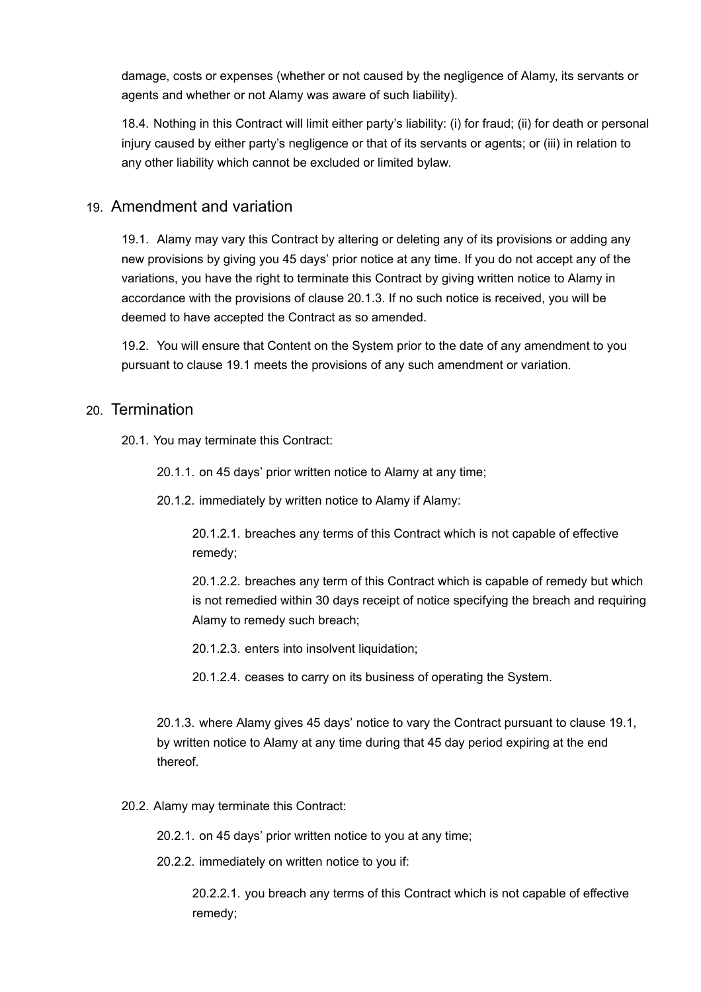damage, costs or expenses (whether or not caused by the negligence of Alamy, its servants or agents and whether or not Alamy was aware of such liability).

18.4. Nothing in this Contract will limit either party's liability: (i) for fraud; (ii) for death or personal injury caused by either party's negligence or that of its servants or agents; or (iii) in relation to any other liability which cannot be excluded or limited bylaw.

## 19. Amendment and variation

19.1. Alamy may vary this Contract by altering or deleting any of its provisions or adding any new provisions by giving you 45 days' prior notice at any time. If you do not accept any of the variations, you have the right to terminate this Contract by giving written notice to Alamy in accordance with the provisions of clause 20.1.3. If no such notice is received, you will be deemed to have accepted the Contract as so amended.

19.2. You will ensure that Content on the System prior to the date of any amendment to you pursuant to clause 19.1 meets the provisions of any such amendment or variation.

#### 20. Termination

20.1. You may terminate this Contract:

20.1.1. on 45 days' prior written notice to Alamy at any time;

20.1.2. immediately by written notice to Alamy if Alamy:

20.1.2.1. breaches any terms of this Contract which is not capable of effective remedy;

20.1.2.2. breaches any term of this Contract which is capable of remedy but which is not remedied within 30 days receipt of notice specifying the breach and requiring Alamy to remedy such breach;

20.1.2.3. enters into insolvent liquidation;

20.1.2.4. ceases to carry on its business of operating the System.

20.1.3. where Alamy gives 45 days' notice to vary the Contract pursuant to clause 19.1, by written notice to Alamy at any time during that 45 day period expiring at the end thereof.

20.2. Alamy may terminate this Contract:

20.2.1. on 45 days' prior written notice to you at any time;

20.2.2. immediately on written notice to you if:

20.2.2.1. you breach any terms of this Contract which is not capable of effective remedy;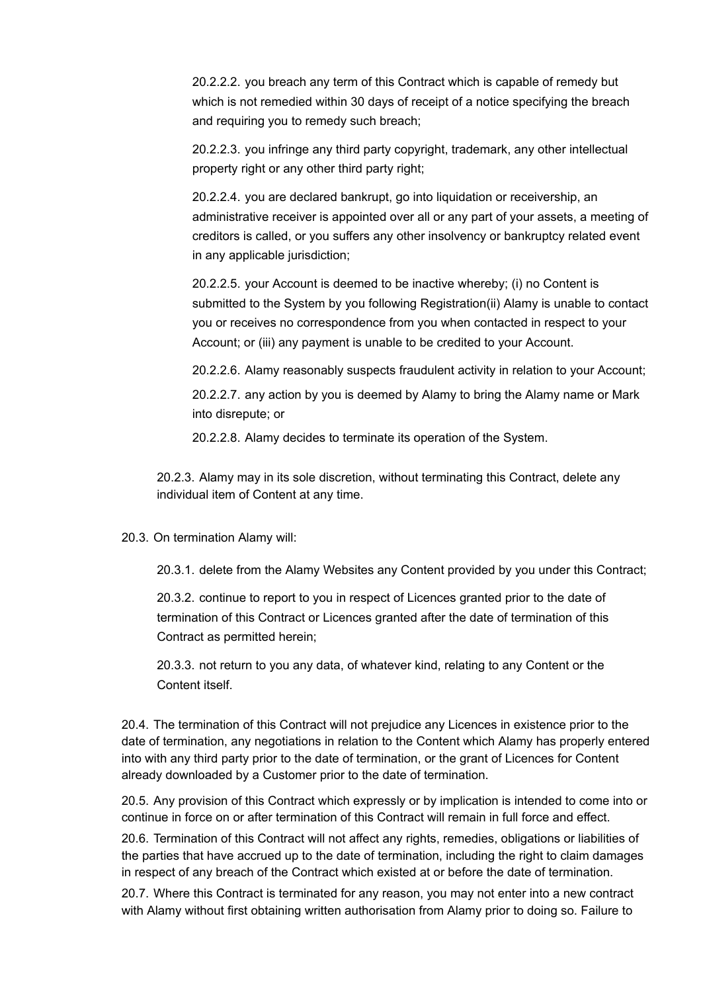20.2.2.2. you breach any term of this Contract which is capable of remedy but which is not remedied within 30 days of receipt of a notice specifying the breach and requiring you to remedy such breach;

20.2.2.3. you infringe any third party copyright, trademark, any other intellectual property right or any other third party right;

20.2.2.4. you are declared bankrupt, go into liquidation or receivership, an administrative receiver is appointed over all or any part of your assets, a meeting of creditors is called, or you suffers any other insolvency or bankruptcy related event in any applicable jurisdiction;

20.2.2.5. your Account is deemed to be inactive whereby; (i) no Content is submitted to the System by you following Registration(ii) Alamy is unable to contact you or receives no correspondence from you when contacted in respect to your Account; or (iii) any payment is unable to be credited to your Account.

20.2.2.6. Alamy reasonably suspects fraudulent activity in relation to your Account;

20.2.2.7. any action by you is deemed by Alamy to bring the Alamy name or Mark into disrepute; or

20.2.2.8. Alamy decides to terminate its operation of the System.

20.2.3. Alamy may in its sole discretion, without terminating this Contract, delete any individual item of Content at any time.

20.3. On termination Alamy will:

20.3.1. delete from the Alamy Websites any Content provided by you under this Contract;

20.3.2. continue to report to you in respect of Licences granted prior to the date of termination of this Contract or Licences granted after the date of termination of this Contract as permitted herein;

20.3.3. not return to you any data, of whatever kind, relating to any Content or the Content itself.

20.4. The termination of this Contract will not prejudice any Licences in existence prior to the date of termination, any negotiations in relation to the Content which Alamy has properly entered into with any third party prior to the date of termination, or the grant of Licences for Content already downloaded by a Customer prior to the date of termination.

20.5. Any provision of this Contract which expressly or by implication is intended to come into or continue in force on or after termination of this Contract will remain in full force and effect.

20.6. Termination of this Contract will not affect any rights, remedies, obligations or liabilities of the parties that have accrued up to the date of termination, including the right to claim damages in respect of any breach of the Contract which existed at or before the date of termination.

20.7. Where this Contract is terminated for any reason, you may not enter into a new contract with Alamy without first obtaining written authorisation from Alamy prior to doing so. Failure to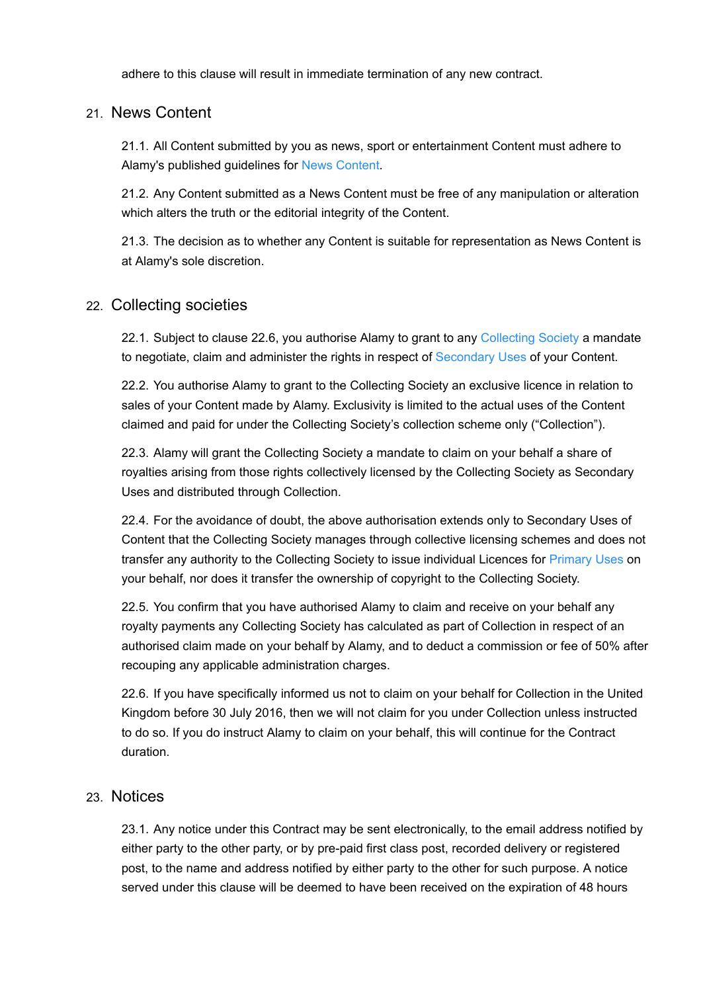adhere to this clause will result in immediate termination of any new contract.

## 21. News Content

21.1. All Content submitted by you as news, sport or entertainment Content must adhere to Alamy's published guidelines for [News Content](#page-20-5).

21.2. Any Content submitted as a News Content must be free of any manipulation or alteration which alters the truth or the editorial integrity of the Content.

21.3. The decision as to whether any Content is suitable for representation as News Content is at Alamy's sole discretion.

## 22. Collecting societies

22.1. Subject to clause 22.6, you authorise Alamy to grant to any [Collecting Society](#page-19-4) a mandate to negotiate, claim and administer the rights in respect of [Secondary Uses](#page-22-1) of your Content.

22.2. You authorise Alamy to grant to the Collecting Society an exclusive licence in relation to sales of your Content made by Alamy. Exclusivity is limited to the actual uses of the Content claimed and paid for under the Collecting Society's collection scheme only ("Collection").

22.3. Alamy will grant the Collecting Society a mandate to claim on your behalf a share of royalties arising from those rights collectively licensed by the Collecting Society as Secondary Uses and distributed through Collection.

22.4. For the avoidance of doubt, the above authorisation extends only to Secondary Uses of Content that the Collecting Society manages through collective licensing schemes and does not transfer any authority to the Collecting Society to issue individual Licences for [Primary Uses](#page-20-6) on your behalf, nor does it transfer the ownership of copyright to the Collecting Society.

22.5. You confirm that you have authorised Alamy to claim and receive on your behalf any royalty payments any Collecting Society has calculated as part of Collection in respect of an authorised claim made on your behalf by Alamy, and to deduct a commission or fee of 50% after recouping any applicable administration charges.

22.6. If you have specifically informed us not to claim on your behalf for Collection in the United Kingdom before 30 July 2016, then we will not claim for you under Collection unless instructed to do so. If you do instruct Alamy to claim on your behalf, this will continue for the Contract duration.

## 23. Notices

23.1. Any notice under this Contract may be sent electronically, to the email address notified by either party to the other party, or by pre-paid first class post, recorded delivery or registered post, to the name and address notified by either party to the other for such purpose. A notice served under this clause will be deemed to have been received on the expiration of 48 hours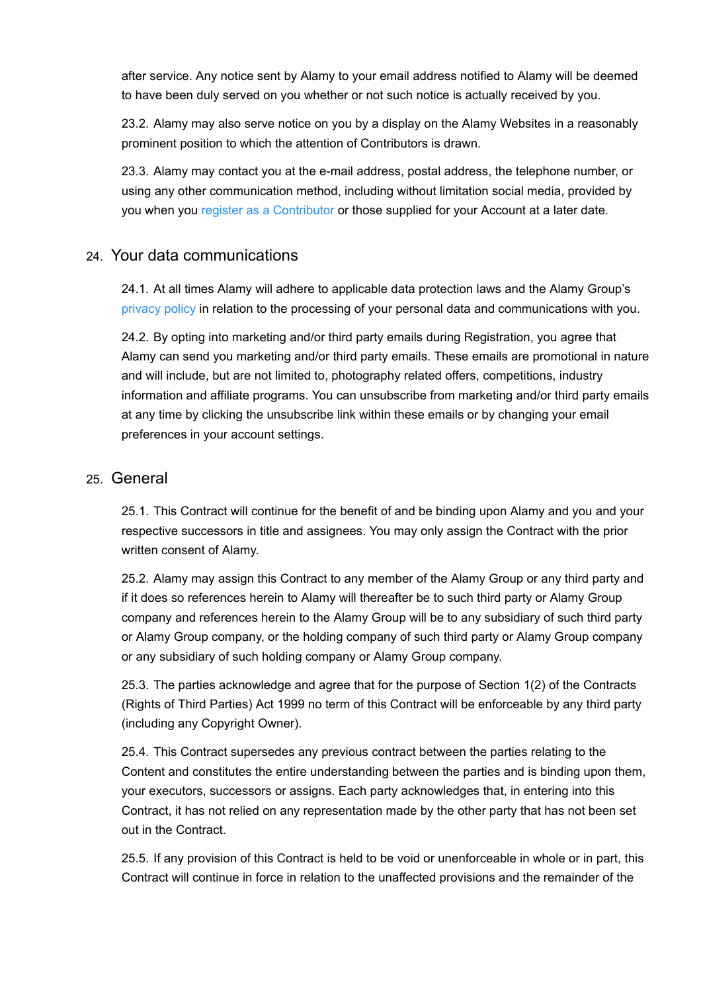after service. Any notice sent by Alamy to your email address notified to Alamy will be deemed to have been duly served on you whether or not such notice is actually received by you.

23.2. Alamy may also serve notice on you by a display on the Alamy Websites in a reasonably prominent position to which the attention of Contributors is drawn.

23.3. Alamy may contact you at the e-mail address, postal address, the telephone number, or using any other communication method, including without limitation social media, provided by you when you [register as a Contributor](https://www.alamy.com/Registration/Contributor-signup.aspx) or those supplied for your Account at a later date.

## 24. Your data communications

24.1. At all times Alamy will adhere to applicable data protection laws and the Alamy Group's [privacy policy](https://devweblocal.alamy.com/terms/general.aspx#Our-privacy-policy) in relation to the processing of your personal data and communications with you.

24.2. By opting into marketing and/or third party emails during Registration, you agree that Alamy can send you marketing and/or third party emails. These emails are promotional in nature and will include, but are not limited to, photography related offers, competitions, industry information and affiliate programs. You can unsubscribe from marketing and/or third party emails at any time by clicking the unsubscribe link within these emails or by changing your email preferences in your account settings.

#### 25. General

25.1. This Contract will continue for the benefit of and be binding upon Alamy and you and your respective successors in title and assignees. You may only assign the Contract with the prior written consent of Alamy.

25.2. Alamy may assign this Contract to any member of the Alamy Group or any third party and if it does so references herein to Alamy will thereafter be to such third party or Alamy Group company and references herein to the Alamy Group will be to any subsidiary of such third party or Alamy Group company, or the holding company of such third party or Alamy Group company or any subsidiary of such holding company or Alamy Group company.

25.3. The parties acknowledge and agree that for the purpose of Section 1(2) of the Contracts (Rights of Third Parties) Act 1999 no term of this Contract will be enforceable by any third party (including any Copyright Owner).

25.4. This Contract supersedes any previous contract between the parties relating to the Content and constitutes the entire understanding between the parties and is binding upon them, your executors, successors or assigns. Each party acknowledges that, in entering into this Contract, it has not relied on any representation made by the other party that has not been set out in the Contract.

25.5. If any provision of this Contract is held to be void or unenforceable in whole or in part, this Contract will continue in force in relation to the unaffected provisions and the remainder of the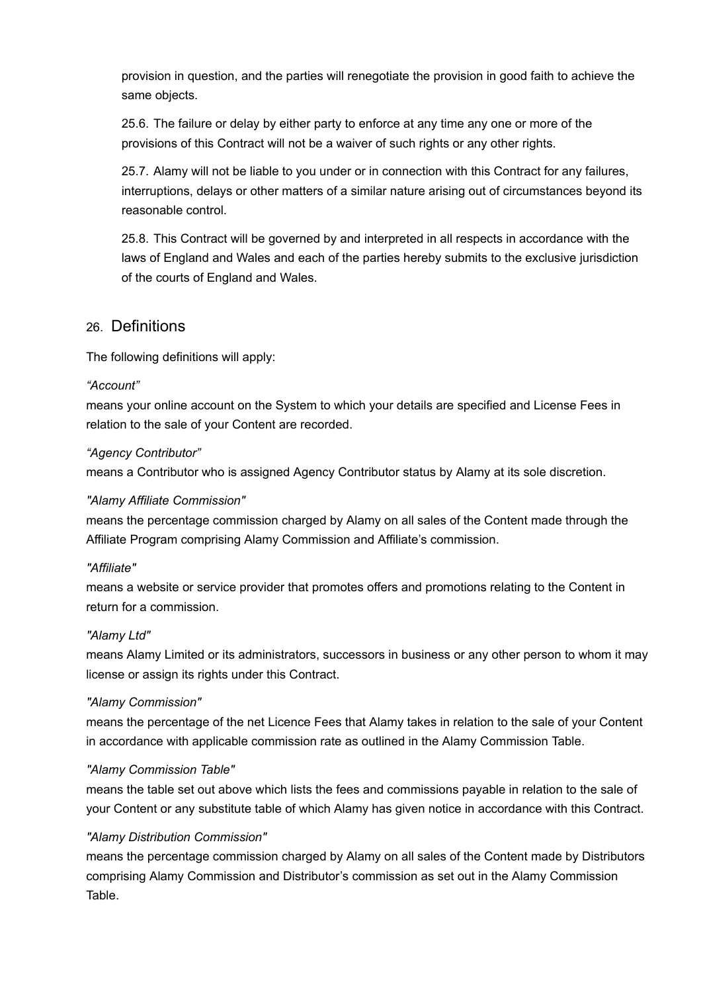provision in question, and the parties will renegotiate the provision in good faith to achieve the same objects.

25.6. The failure or delay by either party to enforce at any time any one or more of the provisions of this Contract will not be a waiver of such rights or any other rights.

25.7. Alamy will not be liable to you under or in connection with this Contract for any failures, interruptions, delays or other matters of a similar nature arising out of circumstances beyond its reasonable control.

25.8. This Contract will be governed by and interpreted in all respects in accordance with the laws of England and Wales and each of the parties hereby submits to the exclusive jurisdiction of the courts of England and Wales.

## 26. Definitions

The following definitions will apply:

#### *"Account"*

means your online account on the System to which your details are specified and License Fees in relation to the sale of your Content are recorded.

#### *"Agency Contributor"*

means a Contributor who is assigned Agency Contributor status by Alamy at its sole discretion.

#### <span id="page-18-0"></span>*"Alamy Affiliate Commission"*

means the percentage commission charged by Alamy on all sales of the Content made through the Affiliate Program comprising Alamy Commission and Affiliate's commission.

#### *"Affiliate"*

means a website or service provider that promotes offers and promotions relating to the Content in return for a commission.

#### *"Alamy Ltd"*

means Alamy Limited or its administrators, successors in business or any other person to whom it may license or assign its rights under this Contract.

#### <span id="page-18-1"></span>*"Alamy Commission"*

means the percentage of the net Licence Fees that Alamy takes in relation to the sale of your Content in accordance with applicable commission rate as outlined in the Alamy Commission Table.

#### *"Alamy Commission Table"*

means the table set out above which lists the fees and commissions payable in relation to the sale of your Content or any substitute table of which Alamy has given notice in accordance with this Contract.

#### <span id="page-18-2"></span>*"Alamy Distribution Commission"*

means the percentage commission charged by Alamy on all sales of the Content made by Distributors comprising Alamy Commission and Distributor's commission as set out in the Alamy Commission Table.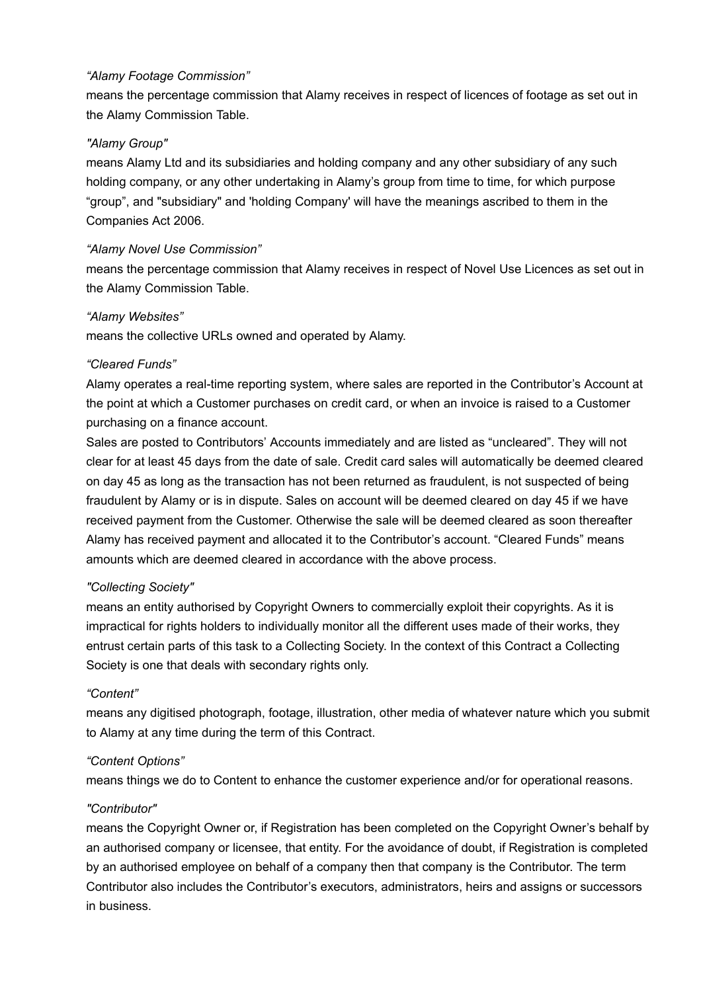#### <span id="page-19-6"></span>*"Alamy Footage Commission"*

means the percentage commission that Alamy receives in respect of licences of footage as set out in the Alamy Commission Table.

#### *"Alamy Group"*

means Alamy Ltd and its subsidiaries and holding company and any other subsidiary of any such holding company, or any other undertaking in Alamy's group from time to time, for which purpose "group", and "subsidiary" and 'holding Company' will have the meanings ascribed to them in the Companies Act 2006.

#### <span id="page-19-5"></span>*"Alamy Novel Use Commission"*

means the percentage commission that Alamy receives in respect of Novel Use Licences as set out in the Alamy Commission Table.

#### <span id="page-19-0"></span>*"Alamy Websites"*

means the collective URLs owned and operated by Alamy.

#### <span id="page-19-1"></span>*"Cleared Funds"*

Alamy operates a real-time reporting system, where sales are reported in the Contributor's Account at the point at which a Customer purchases on credit card, or when an invoice is raised to a Customer purchasing on a finance account.

Sales are posted to Contributors' Accounts immediately and are listed as "uncleared". They will not clear for at least 45 days from the date of sale. Credit card sales will automatically be deemed cleared on day 45 as long as the transaction has not been returned as fraudulent, is not suspected of being fraudulent by Alamy or is in dispute. Sales on account will be deemed cleared on day 45 if we have received payment from the Customer. Otherwise the sale will be deemed cleared as soon thereafter Alamy has received payment and allocated it to the Contributor's account. "Cleared Funds" means amounts which are deemed cleared in accordance with the above process.

#### <span id="page-19-4"></span>*"Collecting Society"*

means an entity authorised by Copyright Owners to commercially exploit their copyrights. As it is impractical for rights holders to individually monitor all the different uses made of their works, they entrust certain parts of this task to a Collecting Society. In the context of this Contract a Collecting Society is one that deals with secondary rights only.

#### <span id="page-19-2"></span>*"Content"*

means any digitised photograph, footage, illustration, other media of whatever nature which you submit to Alamy at any time during the term of this Contract.

#### <span id="page-19-3"></span>*"Content Options"*

means things we do to Content to enhance the customer experience and/or for operational reasons.

#### *"Contributor"*

means the Copyright Owner or, if Registration has been completed on the Copyright Owner's behalf by an authorised company or licensee, that entity. For the avoidance of doubt, if Registration is completed by an authorised employee on behalf of a company then that company is the Contributor. The term Contributor also includes the Contributor's executors, administrators, heirs and assigns or successors in business.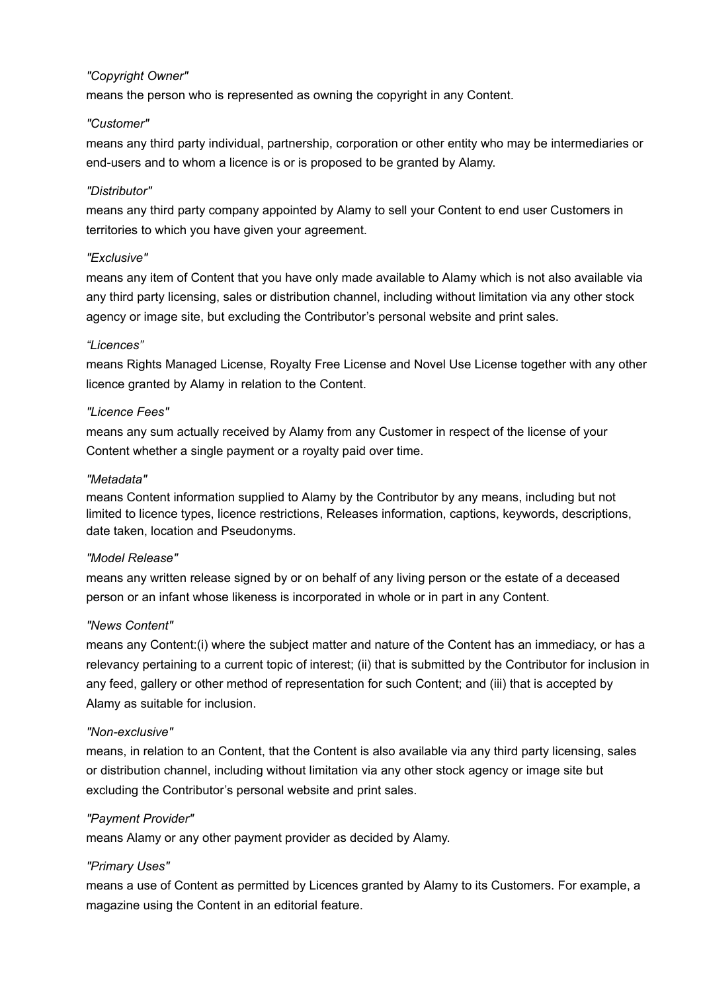#### <span id="page-20-2"></span>*"Copyright Owner"*

means the person who is represented as owning the copyright in any Content.

#### *"Customer"*

means any third party individual, partnership, corporation or other entity who may be intermediaries or end-users and to whom a licence is or is proposed to be granted by Alamy.

#### *"Distributor"*

means any third party company appointed by Alamy to sell your Content to end user Customers in territories to which you have given your agreement.

#### <span id="page-20-1"></span>*"Exclusive"*

means any item of Content that you have only made available to Alamy which is not also available via any third party licensing, sales or distribution channel, including without limitation via any other stock agency or image site, but excluding the Contributor's personal website and print sales.

#### *"Licences"*

means Rights Managed License, Royalty Free License and Novel Use License together with any other licence granted by Alamy in relation to the Content.

#### *"Licence Fees"*

means any sum actually received by Alamy from any Customer in respect of the license of your Content whether a single payment or a royalty paid over time.

#### *"Metadata"*

means Content information supplied to Alamy by the Contributor by any means, including but not limited to licence types, licence restrictions, Releases information, captions, keywords, descriptions, date taken, location and Pseudonyms.

#### <span id="page-20-3"></span>*"Model Release"*

means any written release signed by or on behalf of any living person or the estate of a deceased person or an infant whose likeness is incorporated in whole or in part in any Content.

#### <span id="page-20-5"></span>*"News Content"*

means any Content:(i) where the subject matter and nature of the Content has an immediacy, or has a relevancy pertaining to a current topic of interest; (ii) that is submitted by the Contributor for inclusion in any feed, gallery or other method of representation for such Content; and (iii) that is accepted by Alamy as suitable for inclusion.

#### <span id="page-20-0"></span>*"Non-exclusive"*

means, in relation to an Content, that the Content is also available via any third party licensing, sales or distribution channel, including without limitation via any other stock agency or image site but excluding the Contributor's personal website and print sales.

#### <span id="page-20-4"></span>*"Payment Provider"*

means Alamy or any other payment provider as decided by Alamy.

#### <span id="page-20-6"></span>*"Primary Uses"*

means a use of Content as permitted by Licences granted by Alamy to its Customers. For example, a magazine using the Content in an editorial feature.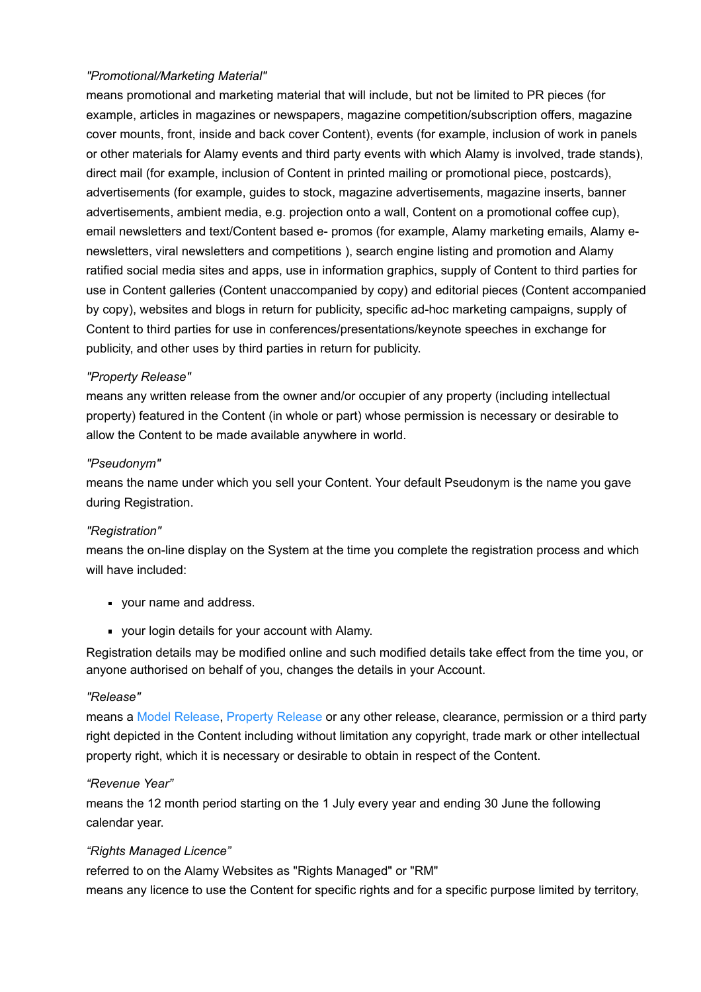#### <span id="page-21-4"></span>*"Promotional/Marketing Material"*

means promotional and marketing material that will include, but not be limited to PR pieces (for example, articles in magazines or newspapers, magazine competition/subscription offers, magazine cover mounts, front, inside and back cover Content), events (for example, inclusion of work in panels or other materials for Alamy events and third party events with which Alamy is involved, trade stands), direct mail (for example, inclusion of Content in printed mailing or promotional piece, postcards), advertisements (for example, guides to stock, magazine advertisements, magazine inserts, banner advertisements, ambient media, e.g. projection onto a wall, Content on a promotional coffee cup), email newsletters and text/Content based e- promos (for example, Alamy marketing emails, Alamy enewsletters, viral newsletters and competitions ), search engine listing and promotion and Alamy ratified social media sites and apps, use in information graphics, supply of Content to third parties for use in Content galleries (Content unaccompanied by copy) and editorial pieces (Content accompanied by copy), websites and blogs in return for publicity, specific ad-hoc marketing campaigns, supply of Content to third parties for use in conferences/presentations/keynote speeches in exchange for publicity, and other uses by third parties in return for publicity.

#### <span id="page-21-1"></span>*"Property Release"*

means any written release from the owner and/or occupier of any property (including intellectual property) featured in the Content (in whole or part) whose permission is necessary or desirable to allow the Content to be made available anywhere in world.

#### *"Pseudonym"*

means the name under which you sell your Content. Your default Pseudonym is the name you gave during Registration.

#### *"Registration"*

means the on-line display on the System at the time you complete the registration process and which will have included:

- vour name and address.
- your login details for your account with Alamy.

Registration details may be modified online and such modified details take effect from the time you, or anyone authorised on behalf of you, changes the details in your Account.

#### <span id="page-21-2"></span>*"Release"*

means a [Model Release](#page-20-3), [Property Release](#page-21-1) or any other release, clearance, permission or a third party right depicted in the Content including without limitation any copyright, trade mark or other intellectual property right, which it is necessary or desirable to obtain in respect of the Content.

#### <span id="page-21-3"></span>*"Revenue Year"*

means the 12 month period starting on the 1 July every year and ending 30 June the following calendar year.

#### <span id="page-21-0"></span>*"Rights Managed Licence"*

referred to on the Alamy Websites as "Rights Managed" or "RM" means any licence to use the Content for specific rights and for a specific purpose limited by territory,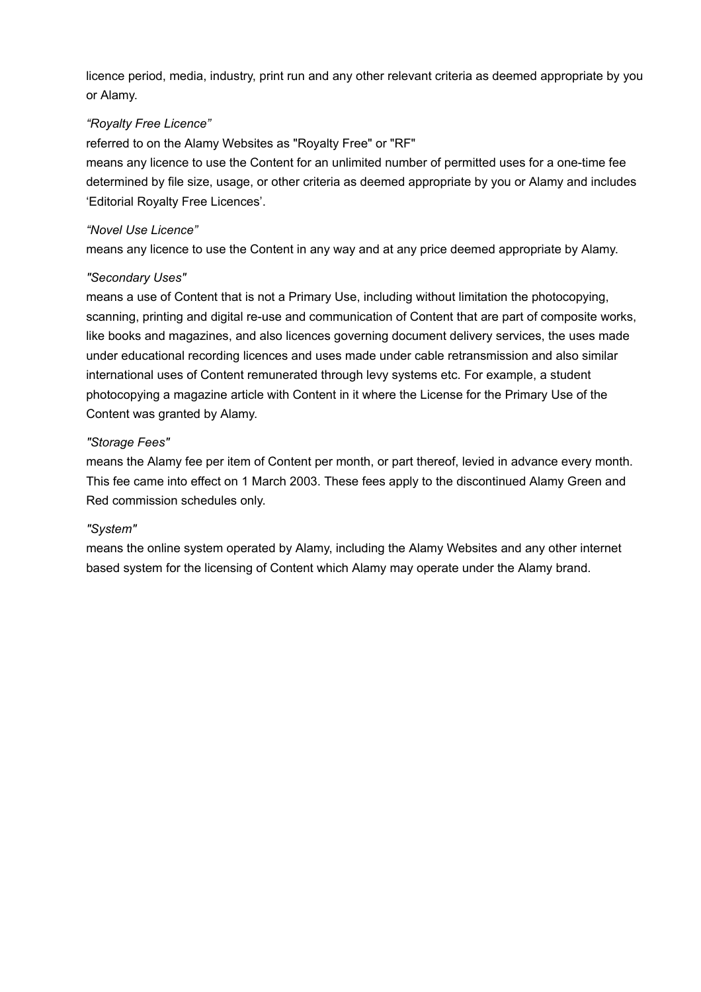licence period, media, industry, print run and any other relevant criteria as deemed appropriate by you or Alamy.

#### <span id="page-22-0"></span>*"Royalty Free Licence"*

referred to on the Alamy Websites as "Royalty Free" or "RF"

means any licence to use the Content for an unlimited number of permitted uses for a one-time fee determined by file size, usage, or other criteria as deemed appropriate by you or Alamy and includes 'Editorial Royalty Free Licences'.

#### *"Novel Use Licence"*

means any licence to use the Content in any way and at any price deemed appropriate by Alamy.

#### <span id="page-22-1"></span>*"Secondary Uses"*

means a use of Content that is not a Primary Use, including without limitation the photocopying, scanning, printing and digital re-use and communication of Content that are part of composite works, like books and magazines, and also licences governing document delivery services, the uses made under educational recording licences and uses made under cable retransmission and also similar international uses of Content remunerated through levy systems etc. For example, a student photocopying a magazine article with Content in it where the License for the Primary Use of the Content was granted by Alamy.

#### *"Storage Fees"*

means the Alamy fee per item of Content per month, or part thereof, levied in advance every month. This fee came into effect on 1 March 2003. These fees apply to the discontinued Alamy Green and Red commission schedules only.

#### *"System"*

means the online system operated by Alamy, including the Alamy Websites and any other internet based system for the licensing of Content which Alamy may operate under the Alamy brand.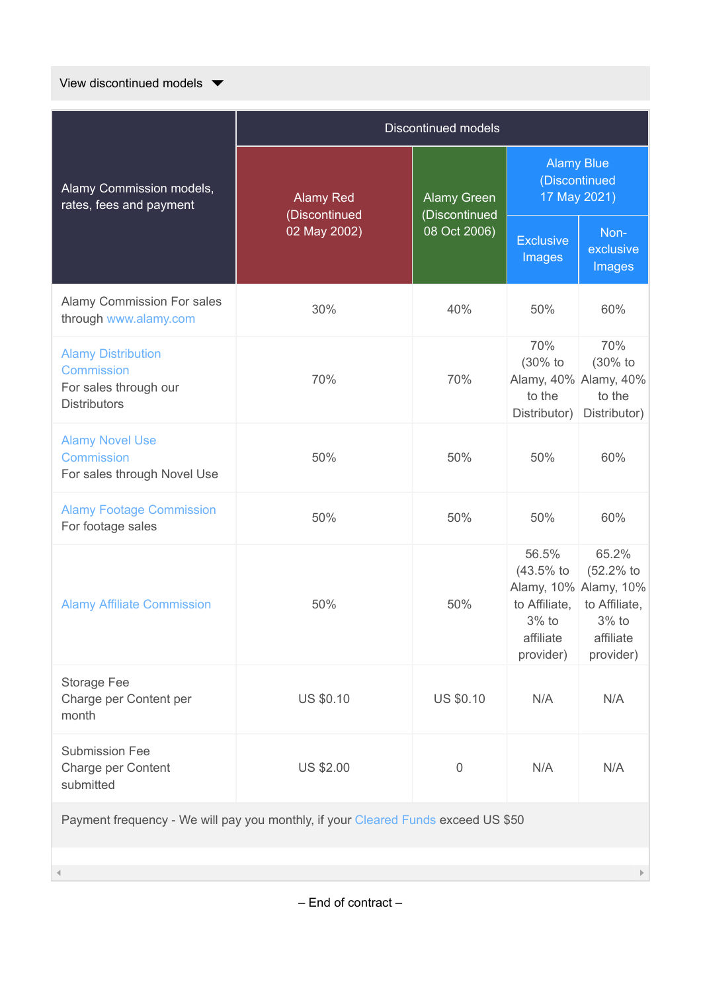View discontinued models  $\blacktriangledown$ 

|                                                                                                | <b>Discontinued models</b>        |                               |                                                                          |                                                                                                 |  |  |  |
|------------------------------------------------------------------------------------------------|-----------------------------------|-------------------------------|--------------------------------------------------------------------------|-------------------------------------------------------------------------------------------------|--|--|--|
| Alamy Commission models,<br>rates, fees and payment                                            | <b>Alamy Red</b><br>(Discontinued | <b>Alamy Green</b>            | <b>Alamy Blue</b><br>(Discontinued<br>17 May 2021)                       |                                                                                                 |  |  |  |
|                                                                                                | 02 May 2002)                      | (Discontinued<br>08 Oct 2006) | <b>Exclusive</b><br>Images                                               | Non-<br>exclusive<br>Images                                                                     |  |  |  |
| <b>Alamy Commission For sales</b><br>through www.alamy.com                                     | 30%                               | 40%                           | 50%                                                                      | 60%                                                                                             |  |  |  |
| <b>Alamy Distribution</b><br><b>Commission</b><br>For sales through our<br><b>Distributors</b> | 70%                               | 70%                           | 70%<br>(30% to<br>to the<br>Distributor)                                 | 70%<br>(30% to<br>Alamy, 40% Alamy, 40%<br>to the<br>Distributor)                               |  |  |  |
| <b>Alamy Novel Use</b><br><b>Commission</b><br>For sales through Novel Use                     | 50%                               | 50%                           | 50%                                                                      | 60%                                                                                             |  |  |  |
| <b>Alamy Footage Commission</b><br>For footage sales                                           | 50%                               | 50%                           | 50%                                                                      | 60%                                                                                             |  |  |  |
| <b>Alamy Affiliate Commission</b>                                                              | 50%                               | 50%                           | 56.5%<br>$(43.5%$ to<br>to Affiliate,<br>3% to<br>affiliate<br>provider) | 65.2%<br>(52.2% to<br>Alamy, 10% Alamy, 10%<br>to Affiliate,<br>3% to<br>affiliate<br>provider) |  |  |  |
| Storage Fee<br>Charge per Content per<br>month                                                 | US \$0.10                         | <b>US \$0.10</b>              | N/A                                                                      | N/A                                                                                             |  |  |  |
| <b>Submission Fee</b><br>Charge per Content<br>submitted                                       | <b>US \$2.00</b>                  | 0                             | N/A                                                                      | N/A                                                                                             |  |  |  |
| Payment frequency - We will pay you monthly, if your Cleared Funds exceed US \$50              |                                   |                               |                                                                          |                                                                                                 |  |  |  |